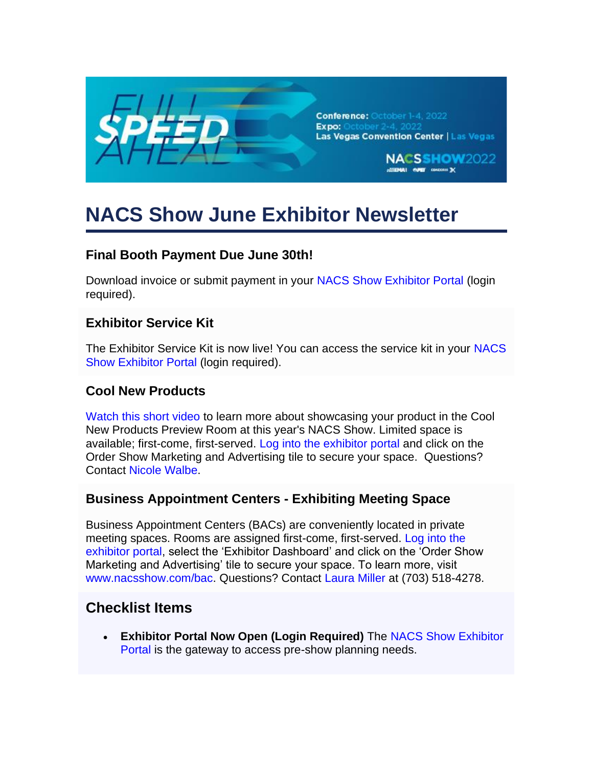

# **NACS Show June Exhibitor Newsletter**

## **Final Booth Payment Due June 30th!**

Download invoice or submit payment in your [NACS Show Exhibitor Portal](http://www.nacsshow.com/exhibitorportal?utm_source=email&utm_medium=email&utm_campaign=NS_ExhbitNL_June_62022) (login required).

### **Exhibitor Service Kit**

The Exhibitor Service Kit is now live! You can access the service kit in your [NACS](http://www.nacsshow.com/exhibitorportal)  [Show Exhibitor Portal](http://www.nacsshow.com/exhibitorportal) (login required).

#### **Cool New Products**

[Watch this short video](https://video.vzaar.com/vzaar/t_1/T8S/target/t_1T8SdIVE2M_1280_720_2500.mp4?utm_source=Magnet%20Mail&utm_medium=Email&utm_term=INSERT_MESSAGE_NAME&utm_content=INSERT_MESSAGE_SUBJECT&utm_campaign=2021NACSShow) to learn more about showcasing your product in the Cool New Products Preview Room at this year's NACS Show. Limited space is available; first-come, first-served. [Log into the exhibitor portal](http://www.nacsshow.com/exhibitorportal) and click on the Order Show Marketing and Advertising tile to secure your space. Questions? Contact [Nicole Walbe.](mailto:nwalbe@convenience.org)

## **Business Appointment Centers - Exhibiting Meeting Space**

Business Appointment Centers (BACs) are conveniently located in private meeting spaces. Rooms are assigned first-come, first-served. [Log into the](http://www.nacsshow.com/exhibitorportal?utm_source=email&utm_medium=email&utm_campaign=NS_ExhbitNL_June_62022)  [exhibitor portal,](http://www.nacsshow.com/exhibitorportal?utm_source=email&utm_medium=email&utm_campaign=NS_ExhbitNL_June_62022) select the 'Exhibitor Dashboard' and click on the 'Order Show Marketing and Advertising' tile to secure your space. To learn more, visit [www.nacsshow.com/bac.](http://www.nacsshow.com/bac) Questions? Contact [Laura Miller](mailto:lmiller@convenience.org) at (703) 518-4278.

# **Checklist Items**

• **Exhibitor Portal Now Open (Login Required)** The [NACS Show](http://www.nacsshow.com/exhibitorportal?utm_source=email&utm_medium=email&utm_campaign=NS_ExhbitNL_June_62022) [Exhibitor](http://www.nacsshow.com/exhibitorportal?utm_source=email&utm_medium=email&utm_campaign=NS_ExhbitNL_June_62022)  [Portal](http://www.nacsshow.com/exhibitorportal?utm_source=email&utm_medium=email&utm_campaign=NS_ExhbitNL_June_62022) is the gateway to access pre-show planning needs.